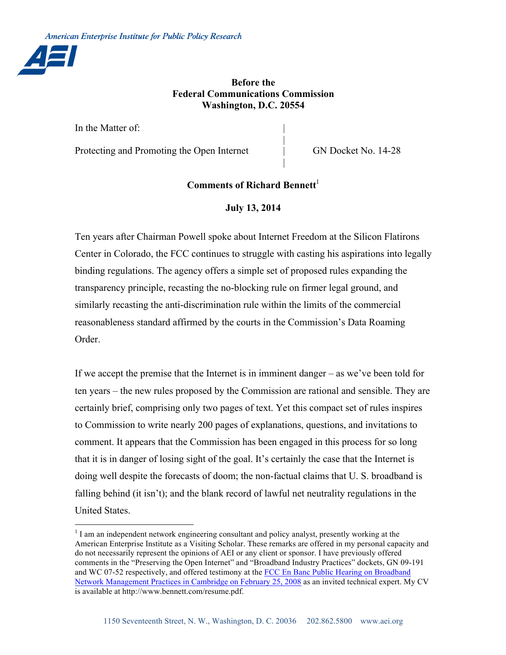

## **Before the Federal Communications Commission Washington, D.C. 20554**

|

|

In the Matter of:

Protecting and Promoting the Open Internet GN Docket No. 14-28

# **Comments of Richard Bennett**

#### **July 13, 2014**

Ten years after Chairman Powell spoke about Internet Freedom at the Silicon Flatirons Center in Colorado, the FCC continues to struggle with casting his aspirations into legally binding regulations. The agency offers a simple set of proposed rules expanding the transparency principle, recasting the no-blocking rule on firmer legal ground, and similarly recasting the anti-discrimination rule within the limits of the commercial reasonableness standard affirmed by the courts in the Commission's Data Roaming Order.

If we accept the premise that the Internet is in imminent danger – as we've been told for ten years – the new rules proposed by the Commission are rational and sensible. They are certainly brief, comprising only two pages of text. Yet this compact set of rules inspires to Commission to write nearly 200 pages of explanations, questions, and invitations to comment. It appears that the Commission has been engaged in this process for so long that it is in danger of losing sight of the goal. It's certainly the case that the Internet is doing well despite the forecasts of doom; the non-factual claims that U. S. broadband is falling behind (it isn't); and the blank record of lawful net neutrality regulations in the United States.

<sup>&</sup>lt;sup>1</sup> I am an independent network engineering consultant and policy analyst, presently working at the American Enterprise Institute as a Visiting Scholar. These remarks are offered in my personal capacity and do not necessarily represent the opinions of AEI or any client or sponsor. I have previously offered comments in the "Preserving the Open Internet" and "Broadband Industry Practices" dockets, GN 09-191 and WC 07-52 respectively, and offered testimony at the FCC En Banc Public Hearing on Broadband Network Management Practices in Cambridge on February 25, 2008 as an invited technical expert. My CV is available at http://www.bennett.com/resume.pdf.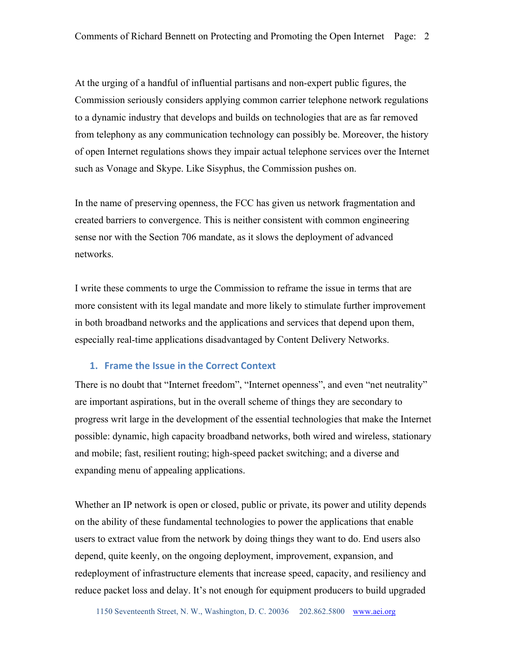At the urging of a handful of influential partisans and non-expert public figures, the Commission seriously considers applying common carrier telephone network regulations to a dynamic industry that develops and builds on technologies that are as far removed from telephony as any communication technology can possibly be. Moreover, the history of open Internet regulations shows they impair actual telephone services over the Internet such as Vonage and Skype. Like Sisyphus, the Commission pushes on.

In the name of preserving openness, the FCC has given us network fragmentation and created barriers to convergence. This is neither consistent with common engineering sense nor with the Section 706 mandate, as it slows the deployment of advanced networks.

I write these comments to urge the Commission to reframe the issue in terms that are more consistent with its legal mandate and more likely to stimulate further improvement in both broadband networks and the applications and services that depend upon them, especially real-time applications disadvantaged by Content Delivery Networks.

## **1. Frame the Issue in the Correct Context**

There is no doubt that "Internet freedom", "Internet openness", and even "net neutrality" are important aspirations, but in the overall scheme of things they are secondary to progress writ large in the development of the essential technologies that make the Internet possible: dynamic, high capacity broadband networks, both wired and wireless, stationary and mobile; fast, resilient routing; high-speed packet switching; and a diverse and expanding menu of appealing applications.

Whether an IP network is open or closed, public or private, its power and utility depends on the ability of these fundamental technologies to power the applications that enable users to extract value from the network by doing things they want to do. End users also depend, quite keenly, on the ongoing deployment, improvement, expansion, and redeployment of infrastructure elements that increase speed, capacity, and resiliency and reduce packet loss and delay. It's not enough for equipment producers to build upgraded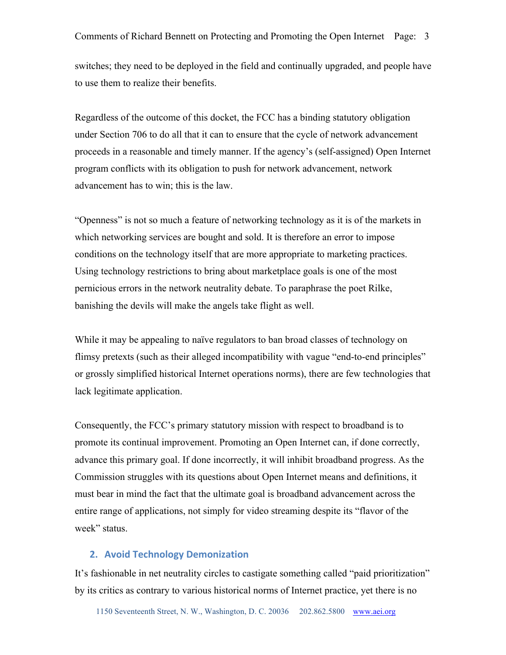switches; they need to be deployed in the field and continually upgraded, and people have to use them to realize their benefits.

Regardless of the outcome of this docket, the FCC has a binding statutory obligation under Section 706 to do all that it can to ensure that the cycle of network advancement proceeds in a reasonable and timely manner. If the agency's (self-assigned) Open Internet program conflicts with its obligation to push for network advancement, network advancement has to win; this is the law.

"Openness" is not so much a feature of networking technology as it is of the markets in which networking services are bought and sold. It is therefore an error to impose conditions on the technology itself that are more appropriate to marketing practices. Using technology restrictions to bring about marketplace goals is one of the most pernicious errors in the network neutrality debate. To paraphrase the poet Rilke, banishing the devils will make the angels take flight as well.

While it may be appealing to naïve regulators to ban broad classes of technology on flimsy pretexts (such as their alleged incompatibility with vague "end-to-end principles" or grossly simplified historical Internet operations norms), there are few technologies that lack legitimate application.

Consequently, the FCC's primary statutory mission with respect to broadband is to promote its continual improvement. Promoting an Open Internet can, if done correctly, advance this primary goal. If done incorrectly, it will inhibit broadband progress. As the Commission struggles with its questions about Open Internet means and definitions, it must bear in mind the fact that the ultimate goal is broadband advancement across the entire range of applications, not simply for video streaming despite its "flavor of the week" status.

#### **2. Avoid Technology Demonization**

It's fashionable in net neutrality circles to castigate something called "paid prioritization" by its critics as contrary to various historical norms of Internet practice, yet there is no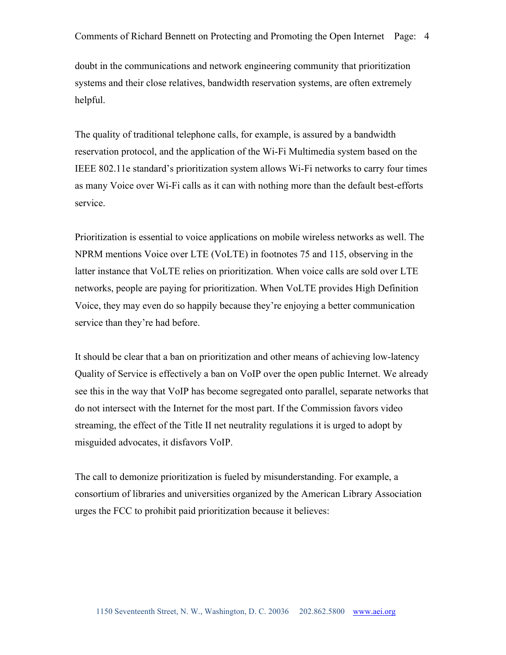doubt in the communications and network engineering community that prioritization systems and their close relatives, bandwidth reservation systems, are often extremely helpful.

The quality of traditional telephone calls, for example, is assured by a bandwidth reservation protocol, and the application of the Wi-Fi Multimedia system based on the IEEE 802.11e standard's prioritization system allows Wi-Fi networks to carry four times as many Voice over Wi-Fi calls as it can with nothing more than the default best-efforts service.

Prioritization is essential to voice applications on mobile wireless networks as well. The NPRM mentions Voice over LTE (VoLTE) in footnotes 75 and 115, observing in the latter instance that VoLTE relies on prioritization. When voice calls are sold over LTE networks, people are paying for prioritization. When VoLTE provides High Definition Voice, they may even do so happily because they're enjoying a better communication service than they're had before.

It should be clear that a ban on prioritization and other means of achieving low-latency Quality of Service is effectively a ban on VoIP over the open public Internet. We already see this in the way that VoIP has become segregated onto parallel, separate networks that do not intersect with the Internet for the most part. If the Commission favors video streaming, the effect of the Title II net neutrality regulations it is urged to adopt by misguided advocates, it disfavors VoIP.

The call to demonize prioritization is fueled by misunderstanding. For example, a consortium of libraries and universities organized by the American Library Association urges the FCC to prohibit paid prioritization because it believes: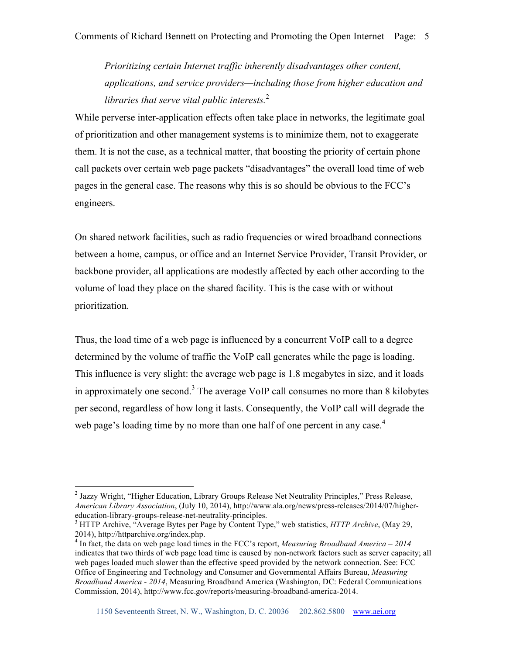*Prioritizing certain Internet traffic inherently disadvantages other content, applications, and service providers—including those from higher education and libraries that serve vital public interests.*<sup>2</sup>

While perverse inter-application effects often take place in networks, the legitimate goal of prioritization and other management systems is to minimize them, not to exaggerate them. It is not the case, as a technical matter, that boosting the priority of certain phone call packets over certain web page packets "disadvantages" the overall load time of web pages in the general case. The reasons why this is so should be obvious to the FCC's engineers.

On shared network facilities, such as radio frequencies or wired broadband connections between a home, campus, or office and an Internet Service Provider, Transit Provider, or backbone provider, all applications are modestly affected by each other according to the volume of load they place on the shared facility. This is the case with or without prioritization.

Thus, the load time of a web page is influenced by a concurrent VoIP call to a degree determined by the volume of traffic the VoIP call generates while the page is loading. This influence is very slight: the average web page is 1.8 megabytes in size, and it loads in approximately one second.<sup>3</sup> The average VoIP call consumes no more than 8 kilobytes per second, regardless of how long it lasts. Consequently, the VoIP call will degrade the web page's loading time by no more than one half of one percent in any case.<sup>4</sup>

<sup>&</sup>lt;sup>2</sup> Jazzy Wright, "Higher Education, Library Groups Release Net Neutrality Principles," Press Release, *American Library Association*, (July 10, 2014), http://www.ala.org/news/press-releases/2014/07/highereducation-library-groups-release-net-neutrality-principles. <sup>3</sup> HTTP Archive, "Average Bytes per Page by Content Type," web statistics, *HTTP Archive*, (May 29,

<sup>2014),</sup> http://httparchive.org/index.php.

<sup>4</sup> In fact, the data on web page load times in the FCC's report, *Measuring Broadband America – 2014* indicates that two thirds of web page load time is caused by non-network factors such as server capacity; all web pages loaded much slower than the effective speed provided by the network connection. See: FCC Office of Engineering and Technology and Consumer and Governmental Affairs Bureau, *Measuring Broadband America - 2014*, Measuring Broadband America (Washington, DC: Federal Communications Commission, 2014), http://www.fcc.gov/reports/measuring-broadband-america-2014.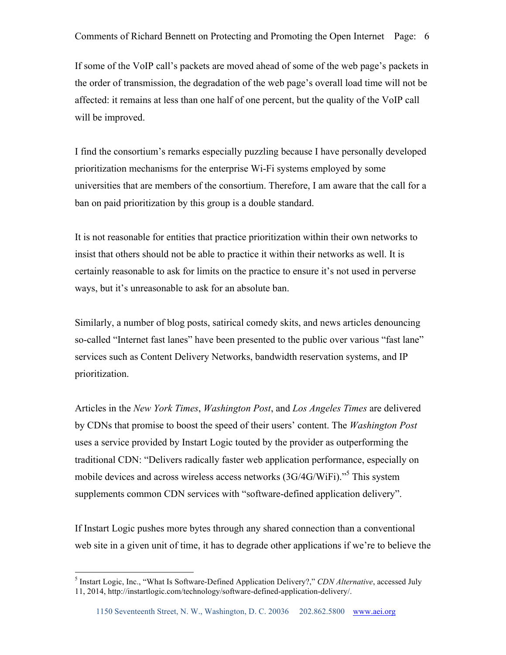If some of the VoIP call's packets are moved ahead of some of the web page's packets in the order of transmission, the degradation of the web page's overall load time will not be affected: it remains at less than one half of one percent, but the quality of the VoIP call will be improved.

I find the consortium's remarks especially puzzling because I have personally developed prioritization mechanisms for the enterprise Wi-Fi systems employed by some universities that are members of the consortium. Therefore, I am aware that the call for a ban on paid prioritization by this group is a double standard.

It is not reasonable for entities that practice prioritization within their own networks to insist that others should not be able to practice it within their networks as well. It is certainly reasonable to ask for limits on the practice to ensure it's not used in perverse ways, but it's unreasonable to ask for an absolute ban.

Similarly, a number of blog posts, satirical comedy skits, and news articles denouncing so-called "Internet fast lanes" have been presented to the public over various "fast lane" services such as Content Delivery Networks, bandwidth reservation systems, and IP prioritization.

Articles in the *New York Times*, *Washington Post*, and *Los Angeles Times* are delivered by CDNs that promise to boost the speed of their users' content. The *Washington Post* uses a service provided by Instart Logic touted by the provider as outperforming the traditional CDN: "Delivers radically faster web application performance, especially on mobile devices and across wireless access networks (3G/4G/WiFi)."5 This system supplements common CDN services with "software-defined application delivery".

If Instart Logic pushes more bytes through any shared connection than a conventional web site in a given unit of time, it has to degrade other applications if we're to believe the

 <sup>5</sup> Instart Logic, Inc., "What Is Software-Defined Application Delivery?," *CDN Alternative*, accessed July 11, 2014, http://instartlogic.com/technology/software-defined-application-delivery/.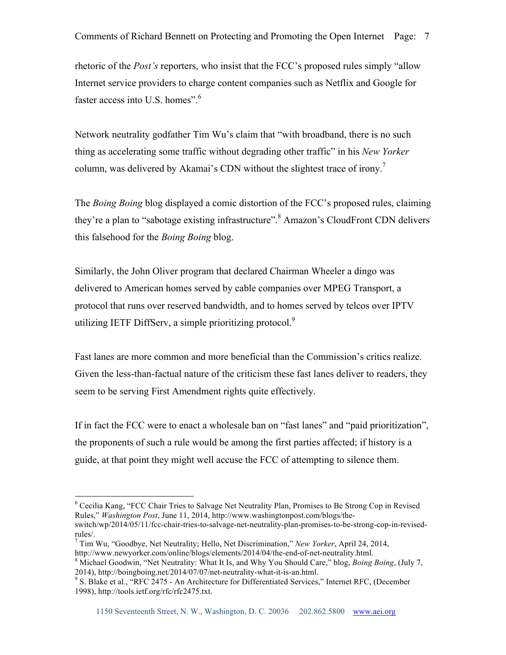rhetoric of the *Post's* reporters, who insist that the FCC's proposed rules simply "allow Internet service providers to charge content companies such as Netflix and Google for faster access into U.S. homes".<sup>6</sup>

Network neutrality godfather Tim Wu's claim that "with broadband, there is no such thing as accelerating some traffic without degrading other traffic" in his *New Yorker* column, was delivered by Akamai's CDN without the slightest trace of irony.<sup>7</sup>

The *Boing Boing* blog displayed a comic distortion of the FCC's proposed rules, claiming they're a plan to "sabotage existing infrastructure".<sup>8</sup> Amazon's CloudFront CDN delivers this falsehood for the *Boing Boing* blog.

Similarly, the John Oliver program that declared Chairman Wheeler a dingo was delivered to American homes served by cable companies over MPEG Transport, a protocol that runs over reserved bandwidth, and to homes served by telcos over IPTV utilizing IETF DiffServ, a simple prioritizing protocol.<sup>9</sup>

Fast lanes are more common and more beneficial than the Commission's critics realize. Given the less-than-factual nature of the criticism these fast lanes deliver to readers, they seem to be serving First Amendment rights quite effectively.

If in fact the FCC were to enact a wholesale ban on "fast lanes" and "paid prioritization", the proponents of such a rule would be among the first parties affected; if history is a guide, at that point they might well accuse the FCC of attempting to silence them.

```
http://www.newyorker.com/online/blogs/elements/2014/04/the-end-of-net-neutrality.html.<br><sup>8</sup> Michael Goodwin, "Net Neutrality: What It Is, and Why You Should Care," blog, Boing Boing, (July 7, 2014), http://boingboing.net/
```
 <sup>6</sup> Cecilia Kang, "FCC Chair Tries to Salvage Net Neutrality Plan, Promises to Be Strong Cop in Revised Rules," *Washington Post*, June 11, 2014, http://www.washingtonpost.com/blogs/theswitch/wp/2014/05/11/fcc-chair-tries-to-salvage-net-neutrality-plan-promises-to-be-strong-cop-in-revisedrules/.

<sup>7</sup> Tim Wu, "Goodbye, Net Neutrality; Hello, Net Discrimination," *New Yorker*, April 24, 2014,

<sup>&</sup>lt;sup>9</sup> S. Blake et al., "RFC 2475 - An Architecture for Differentiated Services," Internet RFC, (December 1998), http://tools.ietf.org/rfc/rfc2475.txt.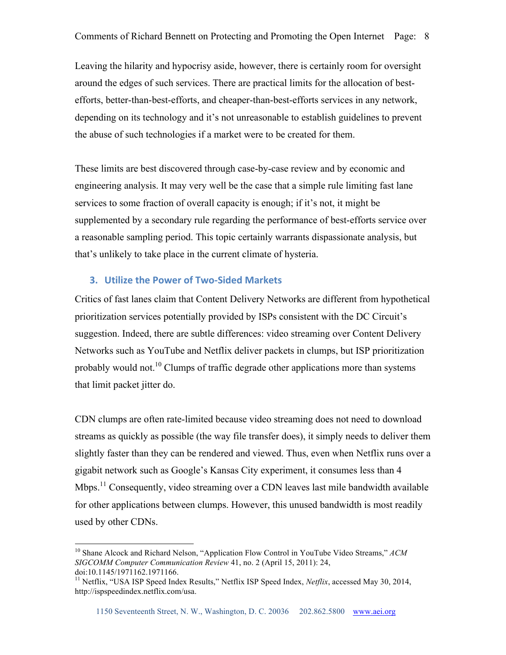Leaving the hilarity and hypocrisy aside, however, there is certainly room for oversight around the edges of such services. There are practical limits for the allocation of bestefforts, better-than-best-efforts, and cheaper-than-best-efforts services in any network, depending on its technology and it's not unreasonable to establish guidelines to prevent the abuse of such technologies if a market were to be created for them.

These limits are best discovered through case-by-case review and by economic and engineering analysis. It may very well be the case that a simple rule limiting fast lane services to some fraction of overall capacity is enough; if it's not, it might be supplemented by a secondary rule regarding the performance of best-efforts service over a reasonable sampling period. This topic certainly warrants dispassionate analysis, but that's unlikely to take place in the current climate of hysteria.

# **3.** Utilize the Power of Two-Sided Markets

Critics of fast lanes claim that Content Delivery Networks are different from hypothetical prioritization services potentially provided by ISPs consistent with the DC Circuit's suggestion. Indeed, there are subtle differences: video streaming over Content Delivery Networks such as YouTube and Netflix deliver packets in clumps, but ISP prioritization probably would not.<sup>10</sup> Clumps of traffic degrade other applications more than systems that limit packet jitter do.

CDN clumps are often rate-limited because video streaming does not need to download streams as quickly as possible (the way file transfer does), it simply needs to deliver them slightly faster than they can be rendered and viewed. Thus, even when Netflix runs over a gigabit network such as Google's Kansas City experiment, it consumes less than 4 Mbps.<sup>11</sup> Consequently, video streaming over a CDN leaves last mile bandwidth available for other applications between clumps. However, this unused bandwidth is most readily used by other CDNs.

 <sup>10</sup> Shane Alcock and Richard Nelson, "Application Flow Control in YouTube Video Streams," *ACM SIGCOMM Computer Communication Review* 41, no. 2 (April 15, 2011): 24, doi:10.1145/1971162.1971166.<br><sup>11</sup> Netflix, "USA ISP Speed Index Results," Netflix ISP Speed Index, *Netflix*, accessed May 30, 2014,

http://ispspeedindex.netflix.com/usa.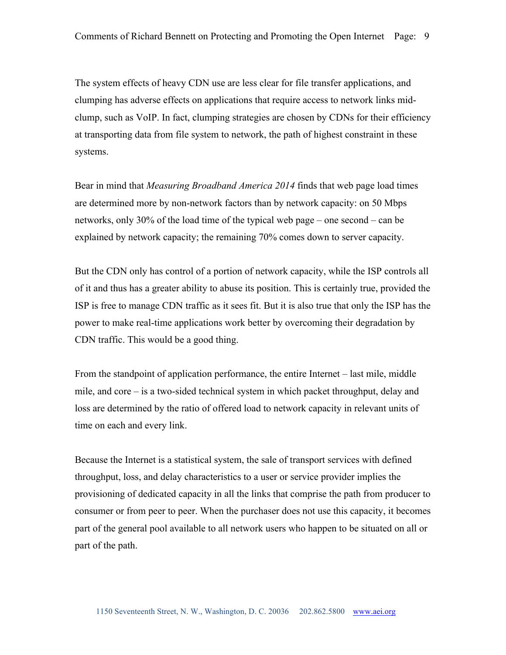The system effects of heavy CDN use are less clear for file transfer applications, and clumping has adverse effects on applications that require access to network links midclump, such as VoIP. In fact, clumping strategies are chosen by CDNs for their efficiency at transporting data from file system to network, the path of highest constraint in these systems.

Bear in mind that *Measuring Broadband America 2014* finds that web page load times are determined more by non-network factors than by network capacity: on 50 Mbps networks, only 30% of the load time of the typical web page – one second – can be explained by network capacity; the remaining 70% comes down to server capacity.

But the CDN only has control of a portion of network capacity, while the ISP controls all of it and thus has a greater ability to abuse its position. This is certainly true, provided the ISP is free to manage CDN traffic as it sees fit. But it is also true that only the ISP has the power to make real-time applications work better by overcoming their degradation by CDN traffic. This would be a good thing.

From the standpoint of application performance, the entire Internet – last mile, middle mile, and core – is a two-sided technical system in which packet throughput, delay and loss are determined by the ratio of offered load to network capacity in relevant units of time on each and every link.

Because the Internet is a statistical system, the sale of transport services with defined throughput, loss, and delay characteristics to a user or service provider implies the provisioning of dedicated capacity in all the links that comprise the path from producer to consumer or from peer to peer. When the purchaser does not use this capacity, it becomes part of the general pool available to all network users who happen to be situated on all or part of the path.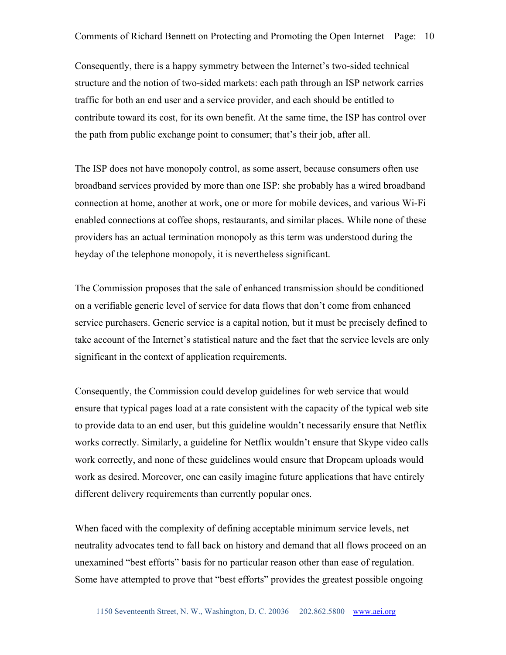Consequently, there is a happy symmetry between the Internet's two-sided technical structure and the notion of two-sided markets: each path through an ISP network carries traffic for both an end user and a service provider, and each should be entitled to contribute toward its cost, for its own benefit. At the same time, the ISP has control over the path from public exchange point to consumer; that's their job, after all.

The ISP does not have monopoly control, as some assert, because consumers often use broadband services provided by more than one ISP: she probably has a wired broadband connection at home, another at work, one or more for mobile devices, and various Wi-Fi enabled connections at coffee shops, restaurants, and similar places. While none of these providers has an actual termination monopoly as this term was understood during the heyday of the telephone monopoly, it is nevertheless significant.

The Commission proposes that the sale of enhanced transmission should be conditioned on a verifiable generic level of service for data flows that don't come from enhanced service purchasers. Generic service is a capital notion, but it must be precisely defined to take account of the Internet's statistical nature and the fact that the service levels are only significant in the context of application requirements.

Consequently, the Commission could develop guidelines for web service that would ensure that typical pages load at a rate consistent with the capacity of the typical web site to provide data to an end user, but this guideline wouldn't necessarily ensure that Netflix works correctly. Similarly, a guideline for Netflix wouldn't ensure that Skype video calls work correctly, and none of these guidelines would ensure that Dropcam uploads would work as desired. Moreover, one can easily imagine future applications that have entirely different delivery requirements than currently popular ones.

When faced with the complexity of defining acceptable minimum service levels, net neutrality advocates tend to fall back on history and demand that all flows proceed on an unexamined "best efforts" basis for no particular reason other than ease of regulation. Some have attempted to prove that "best efforts" provides the greatest possible ongoing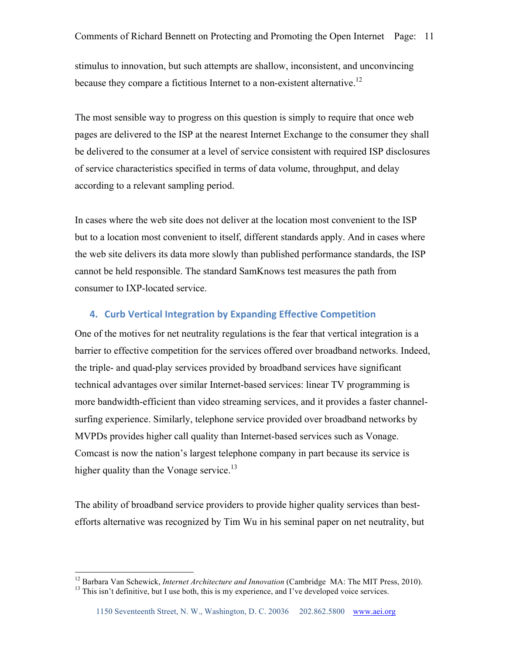stimulus to innovation, but such attempts are shallow, inconsistent, and unconvincing because they compare a fictitious Internet to a non-existent alternative.<sup>12</sup>

The most sensible way to progress on this question is simply to require that once web pages are delivered to the ISP at the nearest Internet Exchange to the consumer they shall be delivered to the consumer at a level of service consistent with required ISP disclosures of service characteristics specified in terms of data volume, throughput, and delay according to a relevant sampling period.

In cases where the web site does not deliver at the location most convenient to the ISP but to a location most convenient to itself, different standards apply. And in cases where the web site delivers its data more slowly than published performance standards, the ISP cannot be held responsible. The standard SamKnows test measures the path from consumer to IXP-located service.

# **4. Curb Vertical Integration by Expanding Effective Competition**

One of the motives for net neutrality regulations is the fear that vertical integration is a barrier to effective competition for the services offered over broadband networks. Indeed, the triple- and quad-play services provided by broadband services have significant technical advantages over similar Internet-based services: linear TV programming is more bandwidth-efficient than video streaming services, and it provides a faster channelsurfing experience. Similarly, telephone service provided over broadband networks by MVPDs provides higher call quality than Internet-based services such as Vonage. Comcast is now the nation's largest telephone company in part because its service is higher quality than the Vonage service.<sup>13</sup>

The ability of broadband service providers to provide higher quality services than bestefforts alternative was recognized by Tim Wu in his seminal paper on net neutrality, but

<sup>&</sup>lt;sup>12</sup> Barbara Van Schewick, *Internet Architecture and Innovation* (Cambridge MA: The MIT Press, 2010).<br><sup>13</sup> This isn't definitive, but I use both, this is my experience, and I've developed voice services.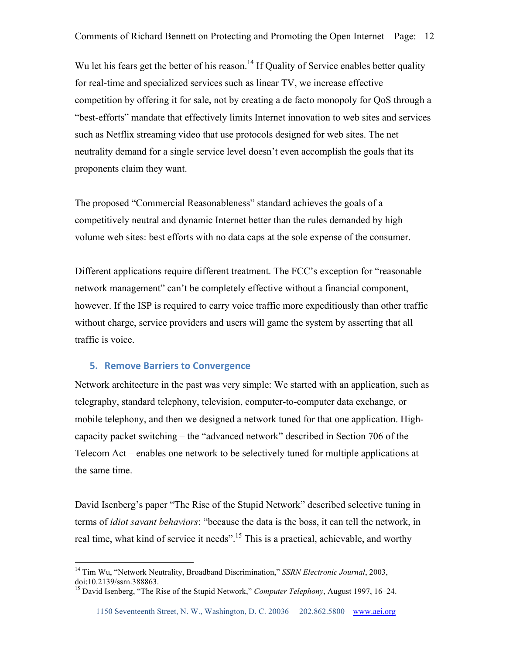Wu let his fears get the better of his reason.<sup>14</sup> If Quality of Service enables better quality for real-time and specialized services such as linear TV, we increase effective competition by offering it for sale, not by creating a de facto monopoly for QoS through a "best-efforts" mandate that effectively limits Internet innovation to web sites and services such as Netflix streaming video that use protocols designed for web sites. The net neutrality demand for a single service level doesn't even accomplish the goals that its proponents claim they want.

The proposed "Commercial Reasonableness" standard achieves the goals of a competitively neutral and dynamic Internet better than the rules demanded by high volume web sites: best efforts with no data caps at the sole expense of the consumer.

Different applications require different treatment. The FCC's exception for "reasonable network management" can't be completely effective without a financial component, however. If the ISP is required to carry voice traffic more expeditiously than other traffic without charge, service providers and users will game the system by asserting that all traffic is voice.

### **5. Remove Barriers to Convergence**

Network architecture in the past was very simple: We started with an application, such as telegraphy, standard telephony, television, computer-to-computer data exchange, or mobile telephony, and then we designed a network tuned for that one application. Highcapacity packet switching – the "advanced network" described in Section 706 of the Telecom Act – enables one network to be selectively tuned for multiple applications at the same time.

David Isenberg's paper "The Rise of the Stupid Network" described selective tuning in terms of *idiot savant behaviors*: "because the data is the boss, it can tell the network, in real time, what kind of service it needs".<sup>15</sup> This is a practical, achievable, and worthy

 <sup>14</sup> Tim Wu, "Network Neutrality, Broadband Discrimination," *SSRN Electronic Journal*, 2003, doi:10.2139/ssrn.388863.

<sup>15</sup> David Isenberg, "The Rise of the Stupid Network," *Computer Telephony*, August 1997, 16–24.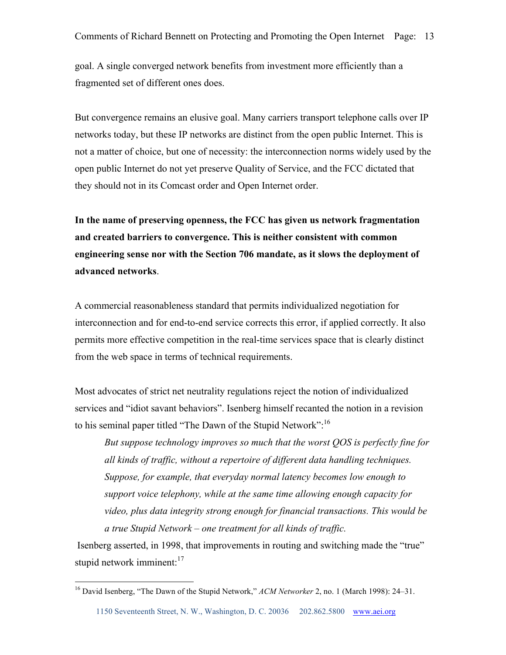goal. A single converged network benefits from investment more efficiently than a fragmented set of different ones does.

But convergence remains an elusive goal. Many carriers transport telephone calls over IP networks today, but these IP networks are distinct from the open public Internet. This is not a matter of choice, but one of necessity: the interconnection norms widely used by the open public Internet do not yet preserve Quality of Service, and the FCC dictated that they should not in its Comcast order and Open Internet order.

**In the name of preserving openness, the FCC has given us network fragmentation and created barriers to convergence. This is neither consistent with common engineering sense nor with the Section 706 mandate, as it slows the deployment of advanced networks**.

A commercial reasonableness standard that permits individualized negotiation for interconnection and for end-to-end service corrects this error, if applied correctly. It also permits more effective competition in the real-time services space that is clearly distinct from the web space in terms of technical requirements.

Most advocates of strict net neutrality regulations reject the notion of individualized services and "idiot savant behaviors". Isenberg himself recanted the notion in a revision to his seminal paper titled "The Dawn of the Stupid Network":<sup>16</sup>

*But suppose technology improves so much that the worst QOS is perfectly fine for all kinds of traffic, without a repertoire of different data handling techniques. Suppose, for example, that everyday normal latency becomes low enough to support voice telephony, while at the same time allowing enough capacity for video, plus data integrity strong enough for financial transactions. This would be a true Stupid Network – one treatment for all kinds of traffic.*

Isenberg asserted, in 1998, that improvements in routing and switching made the "true" stupid network imminent: $17$ 

 <sup>16</sup> David Isenberg, "The Dawn of the Stupid Network," *ACM Networker* 2, no. 1 (March 1998): 24–31.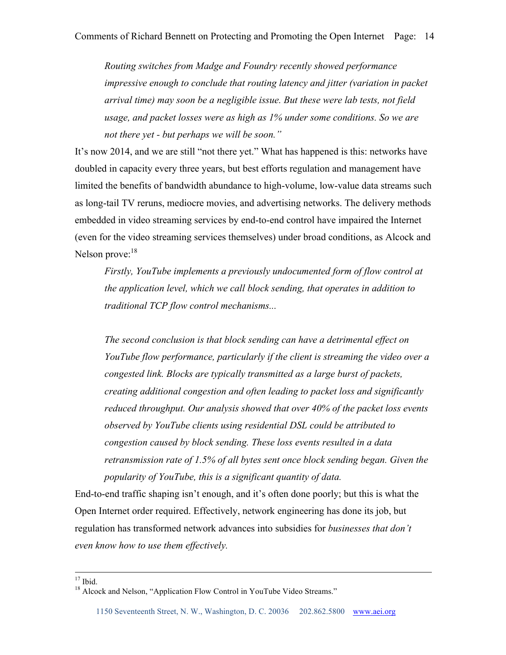*Routing switches from Madge and Foundry recently showed performance impressive enough to conclude that routing latency and jitter (variation in packet arrival time) may soon be a negligible issue. But these were lab tests, not field usage, and packet losses were as high as 1% under some conditions. So we are not there yet - but perhaps we will be soon."* 

It's now 2014, and we are still "not there yet." What has happened is this: networks have doubled in capacity every three years, but best efforts regulation and management have limited the benefits of bandwidth abundance to high-volume, low-value data streams such as long-tail TV reruns, mediocre movies, and advertising networks. The delivery methods embedded in video streaming services by end-to-end control have impaired the Internet (even for the video streaming services themselves) under broad conditions, as Alcock and Nelson prove:<sup>18</sup>

*Firstly, YouTube implements a previously undocumented form of flow control at the application level, which we call block sending, that operates in addition to traditional TCP flow control mechanisms...* 

*The second conclusion is that block sending can have a detrimental effect on YouTube flow performance, particularly if the client is streaming the video over a congested link. Blocks are typically transmitted as a large burst of packets, creating additional congestion and often leading to packet loss and significantly reduced throughput. Our analysis showed that over 40% of the packet loss events observed by YouTube clients using residential DSL could be attributed to congestion caused by block sending. These loss events resulted in a data retransmission rate of 1.5% of all bytes sent once block sending began. Given the popularity of YouTube, this is a significant quantity of data.*

End-to-end traffic shaping isn't enough, and it's often done poorly; but this is what the Open Internet order required. Effectively, network engineering has done its job, but regulation has transformed network advances into subsidies for *businesses that don't even know how to use them effectively.*

<sup>&</sup>lt;sup>17</sup> Ibid. <sup>18</sup> Alcock and Nelson, "Application Flow Control in YouTube Video Streams."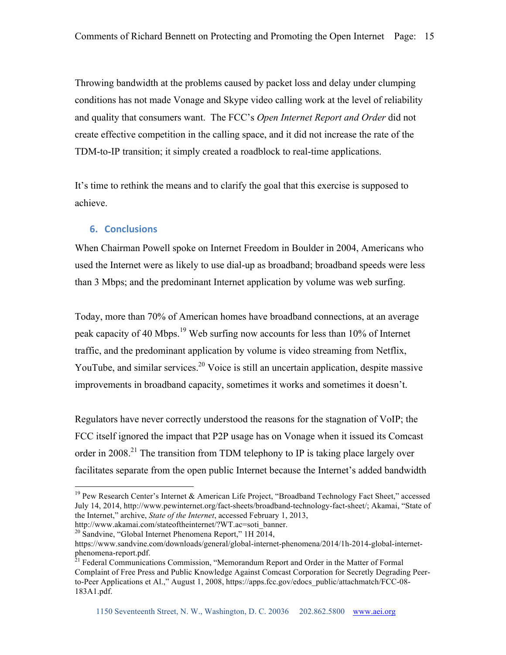Throwing bandwidth at the problems caused by packet loss and delay under clumping conditions has not made Vonage and Skype video calling work at the level of reliability and quality that consumers want. The FCC's *Open Internet Report and Order* did not create effective competition in the calling space, and it did not increase the rate of the TDM-to-IP transition; it simply created a roadblock to real-time applications.

It's time to rethink the means and to clarify the goal that this exercise is supposed to achieve.

# **6. Conclusions**

When Chairman Powell spoke on Internet Freedom in Boulder in 2004, Americans who used the Internet were as likely to use dial-up as broadband; broadband speeds were less than 3 Mbps; and the predominant Internet application by volume was web surfing.

Today, more than 70% of American homes have broadband connections, at an average peak capacity of 40 Mbps.19 Web surfing now accounts for less than 10% of Internet traffic, and the predominant application by volume is video streaming from Netflix, YouTube, and similar services.<sup>20</sup> Voice is still an uncertain application, despite massive improvements in broadband capacity, sometimes it works and sometimes it doesn't.

Regulators have never correctly understood the reasons for the stagnation of VoIP; the FCC itself ignored the impact that P2P usage has on Vonage when it issued its Comcast order in 2008.<sup>21</sup> The transition from TDM telephony to IP is taking place largely over facilitates separate from the open public Internet because the Internet's added bandwidth

<sup>&</sup>lt;sup>19</sup> Pew Research Center's Internet & American Life Project, "Broadband Technology Fact Sheet," accessed July 14, 2014, http://www.pewinternet.org/fact-sheets/broadband-technology-fact-sheet/; Akamai, "State of the Internet," archive, *State of the Internet*, accessed February 1, 2013, http://www.akamai.com/stateoftheinternet/?WT.ac=soti\_banner.

 $20$  Sandvine, "Global Internet Phenomena Report," 1H 2014,

https://www.sandvine.com/downloads/general/global-internet-phenomena/2014/1h-2014-global-internetphenomena-report.pdf.<br><sup>21</sup> Federal Communications Commission, "Memorandum Report and Order in the Matter of Formal

Complaint of Free Press and Public Knowledge Against Comcast Corporation for Secretly Degrading Peerto-Peer Applications et Al.," August 1, 2008, https://apps.fcc.gov/edocs\_public/attachmatch/FCC-08- 183A1.pdf.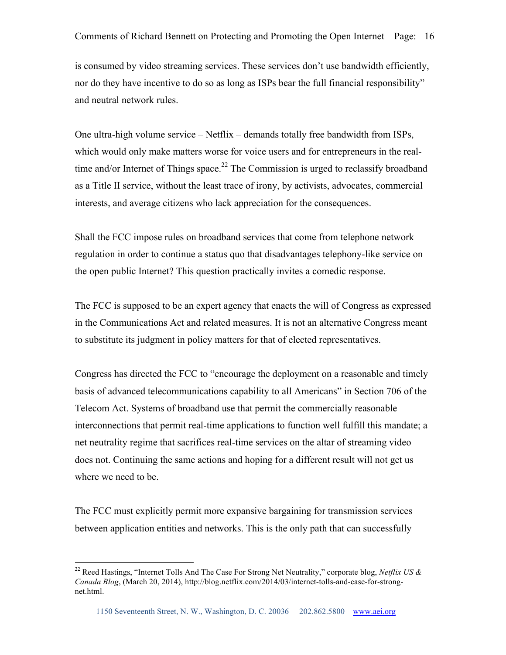is consumed by video streaming services. These services don't use bandwidth efficiently, nor do they have incentive to do so as long as ISPs bear the full financial responsibility" and neutral network rules.

One ultra-high volume service – Netflix – demands totally free bandwidth from ISPs, which would only make matters worse for voice users and for entrepreneurs in the realtime and/or Internet of Things space.<sup>22</sup> The Commission is urged to reclassify broadband as a Title II service, without the least trace of irony, by activists, advocates, commercial interests, and average citizens who lack appreciation for the consequences.

Shall the FCC impose rules on broadband services that come from telephone network regulation in order to continue a status quo that disadvantages telephony-like service on the open public Internet? This question practically invites a comedic response.

The FCC is supposed to be an expert agency that enacts the will of Congress as expressed in the Communications Act and related measures. It is not an alternative Congress meant to substitute its judgment in policy matters for that of elected representatives.

Congress has directed the FCC to "encourage the deployment on a reasonable and timely basis of advanced telecommunications capability to all Americans" in Section 706 of the Telecom Act. Systems of broadband use that permit the commercially reasonable interconnections that permit real-time applications to function well fulfill this mandate; a net neutrality regime that sacrifices real-time services on the altar of streaming video does not. Continuing the same actions and hoping for a different result will not get us where we need to be.

The FCC must explicitly permit more expansive bargaining for transmission services between application entities and networks. This is the only path that can successfully

 <sup>22</sup> Reed Hastings, "Internet Tolls And The Case For Strong Net Neutrality," corporate blog, *Netflix US & Canada Blog*, (March 20, 2014), http://blog.netflix.com/2014/03/internet-tolls-and-case-for-strongnet.html.